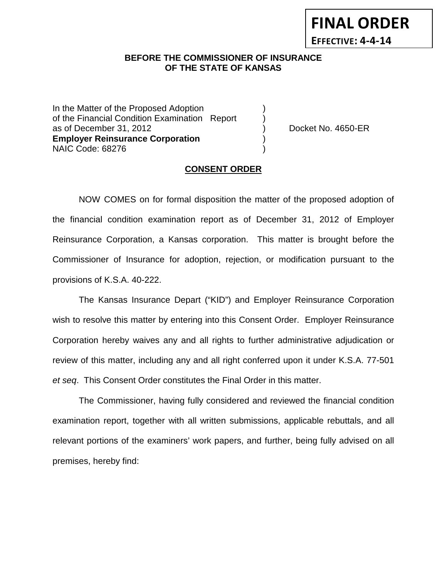# **BEFORE THE COMMISSIONER OF INSURANCE OF THE STATE OF KANSAS**

In the Matter of the Proposed Adoption of the Financial Condition Examination Report as of December 31, 2012 (and the control of Docket No. 4650-ER **Employer Reinsurance Corporation** ) NAIC Code: 68276 )

**FINAL ORDER**

**EFFECTIVE: 4-4-14**

### **CONSENT ORDER**

NOW COMES on for formal disposition the matter of the proposed adoption of the financial condition examination report as of December 31, 2012 of Employer Reinsurance Corporation, a Kansas corporation. This matter is brought before the Commissioner of Insurance for adoption, rejection, or modification pursuant to the provisions of K.S.A. 40-222.

The Kansas Insurance Depart ("KID") and Employer Reinsurance Corporation wish to resolve this matter by entering into this Consent Order. Employer Reinsurance Corporation hereby waives any and all rights to further administrative adjudication or review of this matter, including any and all right conferred upon it under K.S.A. 77-501 *et seq*. This Consent Order constitutes the Final Order in this matter.

The Commissioner, having fully considered and reviewed the financial condition examination report, together with all written submissions, applicable rebuttals, and all relevant portions of the examiners' work papers, and further, being fully advised on all premises, hereby find: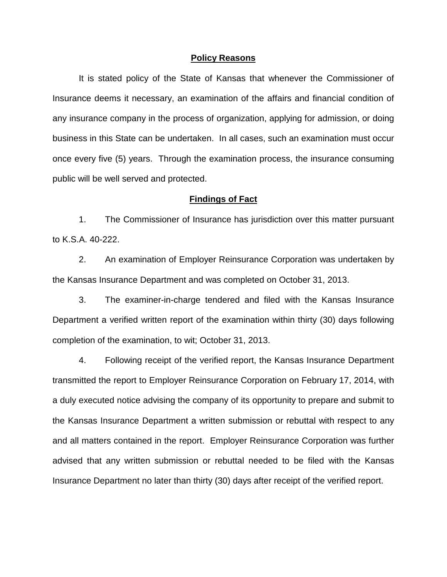### **Policy Reasons**

It is stated policy of the State of Kansas that whenever the Commissioner of Insurance deems it necessary, an examination of the affairs and financial condition of any insurance company in the process of organization, applying for admission, or doing business in this State can be undertaken. In all cases, such an examination must occur once every five (5) years. Through the examination process, the insurance consuming public will be well served and protected.

### **Findings of Fact**

1. The Commissioner of Insurance has jurisdiction over this matter pursuant to K.S.A. 40-222.

2. An examination of Employer Reinsurance Corporation was undertaken by the Kansas Insurance Department and was completed on October 31, 2013.

3. The examiner-in-charge tendered and filed with the Kansas Insurance Department a verified written report of the examination within thirty (30) days following completion of the examination, to wit; October 31, 2013.

4. Following receipt of the verified report, the Kansas Insurance Department transmitted the report to Employer Reinsurance Corporation on February 17, 2014, with a duly executed notice advising the company of its opportunity to prepare and submit to the Kansas Insurance Department a written submission or rebuttal with respect to any and all matters contained in the report. Employer Reinsurance Corporation was further advised that any written submission or rebuttal needed to be filed with the Kansas Insurance Department no later than thirty (30) days after receipt of the verified report.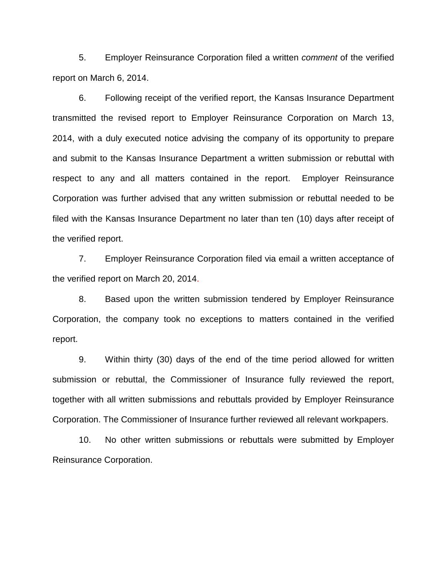5. Employer Reinsurance Corporation filed a written *comment* of the verified report on March 6, 2014.

6. Following receipt of the verified report, the Kansas Insurance Department transmitted the revised report to Employer Reinsurance Corporation on March 13, 2014, with a duly executed notice advising the company of its opportunity to prepare and submit to the Kansas Insurance Department a written submission or rebuttal with respect to any and all matters contained in the report. Employer Reinsurance Corporation was further advised that any written submission or rebuttal needed to be filed with the Kansas Insurance Department no later than ten (10) days after receipt of the verified report.

7. Employer Reinsurance Corporation filed via email a written acceptance of the verified report on March 20, 2014.

8. Based upon the written submission tendered by Employer Reinsurance Corporation, the company took no exceptions to matters contained in the verified report.

9. Within thirty (30) days of the end of the time period allowed for written submission or rebuttal, the Commissioner of Insurance fully reviewed the report, together with all written submissions and rebuttals provided by Employer Reinsurance Corporation. The Commissioner of Insurance further reviewed all relevant workpapers.

10. No other written submissions or rebuttals were submitted by Employer Reinsurance Corporation.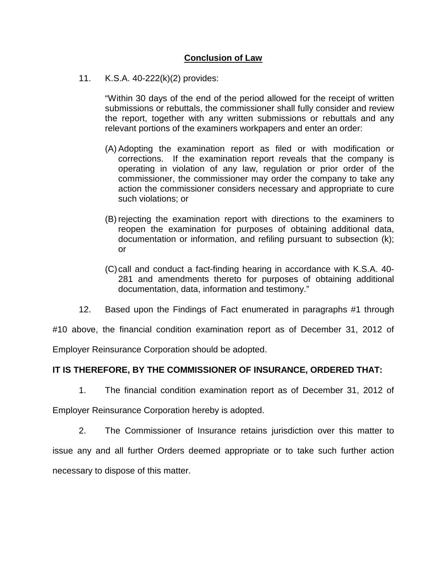# **Conclusion of Law**

11. K.S.A. 40-222(k)(2) provides:

"Within 30 days of the end of the period allowed for the receipt of written submissions or rebuttals, the commissioner shall fully consider and review the report, together with any written submissions or rebuttals and any relevant portions of the examiners workpapers and enter an order:

- (A) Adopting the examination report as filed or with modification or corrections. If the examination report reveals that the company is operating in violation of any law, regulation or prior order of the commissioner, the commissioner may order the company to take any action the commissioner considers necessary and appropriate to cure such violations; or
- (B) rejecting the examination report with directions to the examiners to reopen the examination for purposes of obtaining additional data, documentation or information, and refiling pursuant to subsection (k); or
- (C)call and conduct a fact-finding hearing in accordance with K.S.A. 40- 281 and amendments thereto for purposes of obtaining additional documentation, data, information and testimony."
- 12. Based upon the Findings of Fact enumerated in paragraphs #1 through

#10 above, the financial condition examination report as of December 31, 2012 of

Employer Reinsurance Corporation should be adopted.

## **IT IS THEREFORE, BY THE COMMISSIONER OF INSURANCE, ORDERED THAT:**

1. The financial condition examination report as of December 31, 2012 of

Employer Reinsurance Corporation hereby is adopted.

2. The Commissioner of Insurance retains jurisdiction over this matter to issue any and all further Orders deemed appropriate or to take such further action necessary to dispose of this matter.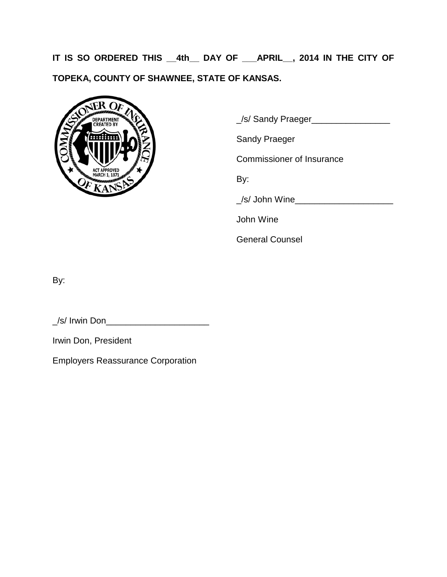**IT IS SO ORDERED THIS \_\_4th\_\_ DAY OF \_\_\_APRIL\_\_, 2014 IN THE CITY OF TOPEKA, COUNTY OF SHAWNEE, STATE OF KANSAS.**



\_/s/ Sandy Praeger\_\_\_\_\_\_\_\_\_\_\_\_\_\_\_\_

Sandy Praeger

Commissioner of Insurance

By:

\_/s/ John Wine\_\_\_\_\_\_\_\_\_\_\_\_\_\_\_\_\_\_\_\_

John Wine

General Counsel

By:

\_/s/ Irwin Don\_\_\_\_\_\_\_\_\_\_\_\_\_\_\_\_\_\_\_\_\_

Irwin Don, President

Employers Reassurance Corporation